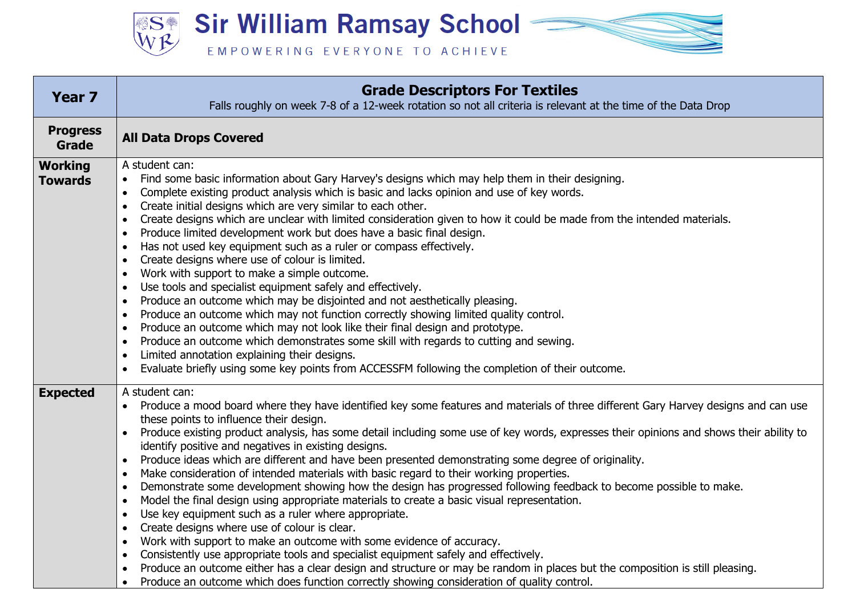**Sir William Ramsay School – SS®** EMPOWERING EVERYONE TO ACHIEVE

| <b>Year 7</b>                    | <b>Grade Descriptors For Textiles</b><br>Falls roughly on week 7-8 of a 12-week rotation so not all criteria is relevant at the time of the Data Drop                                                                                                                                                                                                                                                                                                                                                                                                                                                                                                                                                                                                                                                                                                                                                                                                                                                                                                                                                                                                                                                                                                                                                                                                                                                                                                           |
|----------------------------------|-----------------------------------------------------------------------------------------------------------------------------------------------------------------------------------------------------------------------------------------------------------------------------------------------------------------------------------------------------------------------------------------------------------------------------------------------------------------------------------------------------------------------------------------------------------------------------------------------------------------------------------------------------------------------------------------------------------------------------------------------------------------------------------------------------------------------------------------------------------------------------------------------------------------------------------------------------------------------------------------------------------------------------------------------------------------------------------------------------------------------------------------------------------------------------------------------------------------------------------------------------------------------------------------------------------------------------------------------------------------------------------------------------------------------------------------------------------------|
| <b>Progress</b><br>Grade         | <b>All Data Drops Covered</b>                                                                                                                                                                                                                                                                                                                                                                                                                                                                                                                                                                                                                                                                                                                                                                                                                                                                                                                                                                                                                                                                                                                                                                                                                                                                                                                                                                                                                                   |
| <b>Working</b><br><b>Towards</b> | A student can:<br>Find some basic information about Gary Harvey's designs which may help them in their designing.<br>Complete existing product analysis which is basic and lacks opinion and use of key words.<br>$\bullet$<br>Create initial designs which are very similar to each other.<br>$\bullet$<br>Create designs which are unclear with limited consideration given to how it could be made from the intended materials.<br>$\bullet$<br>Produce limited development work but does have a basic final design.<br>$\bullet$<br>Has not used key equipment such as a ruler or compass effectively.<br>$\bullet$<br>Create designs where use of colour is limited.<br>$\bullet$<br>Work with support to make a simple outcome.<br>$\bullet$<br>Use tools and specialist equipment safely and effectively.<br>$\bullet$<br>Produce an outcome which may be disjointed and not aesthetically pleasing.<br>$\bullet$<br>Produce an outcome which may not function correctly showing limited quality control.<br>$\bullet$<br>Produce an outcome which may not look like their final design and prototype.<br>$\bullet$<br>Produce an outcome which demonstrates some skill with regards to cutting and sewing.<br>$\bullet$<br>Limited annotation explaining their designs.<br>$\bullet$<br>Evaluate briefly using some key points from ACCESSFM following the completion of their outcome.<br>$\bullet$                                                    |
| <b>Expected</b>                  | A student can:<br>Produce a mood board where they have identified key some features and materials of three different Gary Harvey designs and can use<br>these points to influence their design.<br>Produce existing product analysis, has some detail including some use of key words, expresses their opinions and shows their ability to<br>$\bullet$<br>identify positive and negatives in existing designs.<br>Produce ideas which are different and have been presented demonstrating some degree of originality.<br>$\bullet$<br>Make consideration of intended materials with basic regard to their working properties.<br>$\bullet$<br>Demonstrate some development showing how the design has progressed following feedback to become possible to make.<br>$\bullet$<br>Model the final design using appropriate materials to create a basic visual representation.<br>$\bullet$<br>Use key equipment such as a ruler where appropriate.<br>$\bullet$<br>Create designs where use of colour is clear.<br>$\bullet$<br>Work with support to make an outcome with some evidence of accuracy.<br>$\bullet$<br>Consistently use appropriate tools and specialist equipment safely and effectively.<br>$\bullet$<br>Produce an outcome either has a clear design and structure or may be random in places but the composition is still pleasing.<br>$\bullet$<br>Produce an outcome which does function correctly showing consideration of quality control. |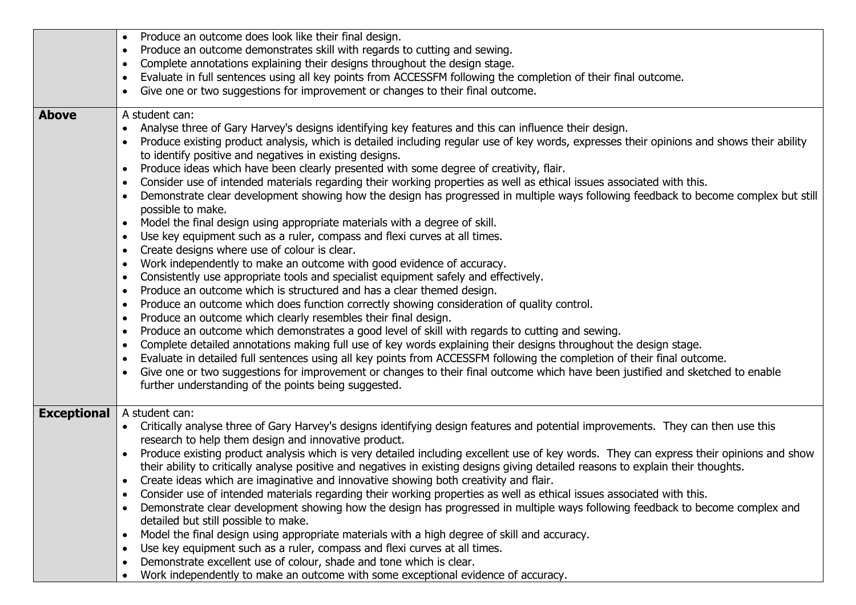|                    | Produce an outcome does look like their final design.                                                                                                    |
|--------------------|----------------------------------------------------------------------------------------------------------------------------------------------------------|
|                    | Produce an outcome demonstrates skill with regards to cutting and sewing.<br>٠                                                                           |
|                    | Complete annotations explaining their designs throughout the design stage.<br>$\bullet$                                                                  |
|                    | Evaluate in full sentences using all key points from ACCESSFM following the completion of their final outcome.<br>$\bullet$                              |
|                    | Give one or two suggestions for improvement or changes to their final outcome.<br>$\bullet$                                                              |
|                    |                                                                                                                                                          |
| <b>Above</b>       | A student can:                                                                                                                                           |
|                    | Analyse three of Gary Harvey's designs identifying key features and this can influence their design.                                                     |
|                    | Produce existing product analysis, which is detailed including regular use of key words, expresses their opinions and shows their ability                |
|                    | to identify positive and negatives in existing designs.                                                                                                  |
|                    | Produce ideas which have been clearly presented with some degree of creativity, flair.<br>$\bullet$                                                      |
|                    | Consider use of intended materials regarding their working properties as well as ethical issues associated with this.                                    |
|                    | Demonstrate clear development showing how the design has progressed in multiple ways following feedback to become complex but still<br>possible to make. |
|                    | Model the final design using appropriate materials with a degree of skill.<br>$\bullet$                                                                  |
|                    | Use key equipment such as a ruler, compass and flexi curves at all times.<br>$\bullet$                                                                   |
|                    | Create designs where use of colour is clear.<br>٠                                                                                                        |
|                    | Work independently to make an outcome with good evidence of accuracy.<br>$\bullet$                                                                       |
|                    | Consistently use appropriate tools and specialist equipment safely and effectively.<br>$\bullet$                                                         |
|                    | Produce an outcome which is structured and has a clear themed design.<br>$\bullet$                                                                       |
|                    | Produce an outcome which does function correctly showing consideration of quality control.<br>٠                                                          |
|                    | Produce an outcome which clearly resembles their final design.<br>٠                                                                                      |
|                    | Produce an outcome which demonstrates a good level of skill with regards to cutting and sewing.<br>$\bullet$                                             |
|                    | Complete detailed annotations making full use of key words explaining their designs throughout the design stage.<br>$\bullet$                            |
|                    | Evaluate in detailed full sentences using all key points from ACCESSFM following the completion of their final outcome.<br>$\bullet$                     |
|                    | Give one or two suggestions for improvement or changes to their final outcome which have been justified and sketched to enable                           |
|                    | further understanding of the points being suggested.                                                                                                     |
|                    |                                                                                                                                                          |
| <b>Exceptional</b> | A student can:                                                                                                                                           |
|                    | Critically analyse three of Gary Harvey's designs identifying design features and potential improvements. They can then use this                         |
|                    | research to help them design and innovative product.                                                                                                     |
|                    | Produce existing product analysis which is very detailed including excellent use of key words. They can express their opinions and show<br>$\bullet$     |
|                    | their ability to critically analyse positive and negatives in existing designs giving detailed reasons to explain their thoughts.                        |
|                    | Create ideas which are imaginative and innovative showing both creativity and flair.                                                                     |
|                    | Consider use of intended materials regarding their working properties as well as ethical issues associated with this.<br>$\bullet$                       |
|                    | Demonstrate clear development showing how the design has progressed in multiple ways following feedback to become complex and<br>$\bullet$               |
|                    | detailed but still possible to make.                                                                                                                     |
|                    | Model the final design using appropriate materials with a high degree of skill and accuracy.<br>$\bullet$                                                |
|                    | Use key equipment such as a ruler, compass and flexi curves at all times.<br>$\bullet$                                                                   |
|                    | Demonstrate excellent use of colour, shade and tone which is clear.                                                                                      |
|                    | Work independently to make an outcome with some exceptional evidence of accuracy.<br>$\bullet$                                                           |